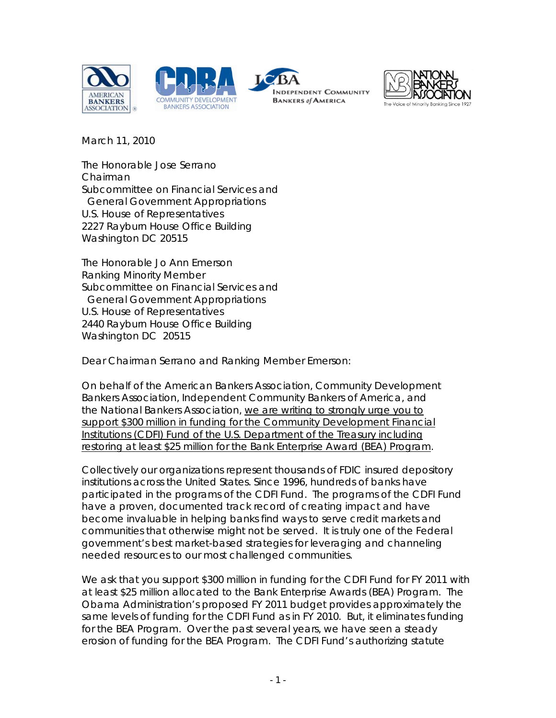







March 11, 2010

The Honorable Jose Serrano Chairman Subcommittee on Financial Services and General Government Appropriations U.S. House of Representatives 2227 Rayburn House Office Building Washington DC 20515

The Honorable Jo Ann Emerson Ranking Minority Member Subcommittee on Financial Services and General Government Appropriations U.S. House of Representatives 2440 Rayburn House Office Building Washington DC 20515

Dear Chairman Serrano and Ranking Member Emerson:

On behalf of the American Bankers Association, Community Development Bankers Association, Independent Community Bankers of America, and the National Bankers Association, we are writing to strongly urge you to support \$300 million in funding for the Community Development Financial Institutions (CDFI) Fund of the U.S. Department of the Treasury including restoring at least \$25 million for the Bank Enterprise Award (BEA) Program.

Collectively our organizations represent thousands of FDIC insured depository institutions across the United States. Since 1996, hundreds of banks have participated in the programs of the CDFI Fund. The programs of the CDFI Fund have a proven, documented track record of creating impact and have become invaluable in helping banks find ways to serve credit markets and communities that otherwise might not be served. It is truly one of the Federal government's best market-based strategies for leveraging and channeling needed resources to our most challenged communities.

We ask that you support \$300 million in funding for the CDFI Fund for FY 2011 with at least \$25 million allocated to the Bank Enterprise Awards (BEA) Program. The Obama Administration's proposed FY 2011 budget provides approximately the same levels of funding for the CDFI Fund as in FY 2010. But, it eliminates funding for the BEA Program. Over the past several years, we have seen a steady erosion of funding for the BEA Program. The CDFI Fund's authorizing statute